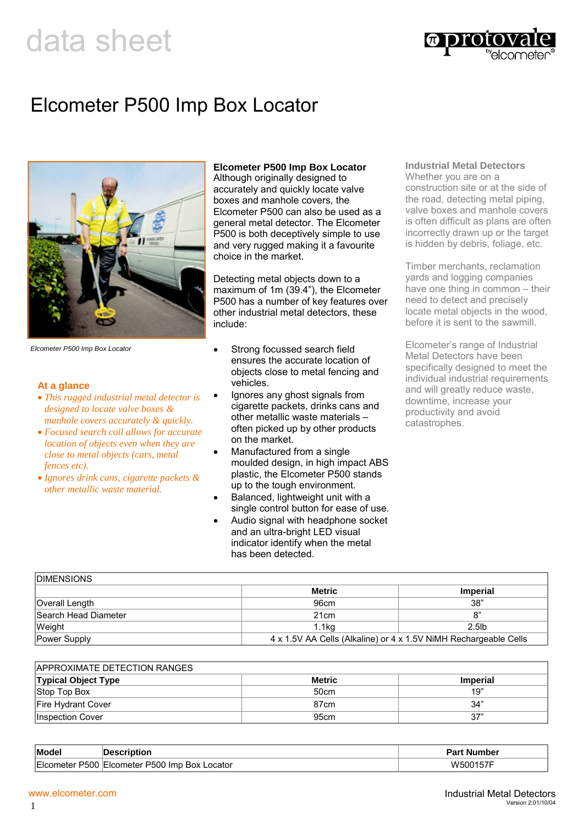# data sheet



# Elcometer P500 Imp Box Locator



*Elcometer P500 Imp Box Locator*

### **At a glance**

- *This rugged industrial metal detector is designed to locate valve boxes & manhole covers accurately & quickly.*
- *Focused search coil allows for accurate location of objects even when they are close to metal objects (cars, metal fences etc).*
- *Ignores drink cans, cigarette packets & other metallic waste material.*

### **Elcometer P500 Imp Box Locator**

Although originally designed to accurately and quickly locate valve boxes and manhole covers, the Elcometer P500 can also be used as a general metal detector. The Elcometer P500 is both deceptively simple to use and very rugged making it a favourite choice in the market.

Detecting metal objects down to a maximum of 1m (39.4"), the Elcometer P500 has a number of key features over other industrial metal detectors, these include:

- Strong focussed search field ensures the accurate location of objects close to metal fencing and vehicles.
- Ignores any ghost signals from cigarette packets, drinks cans and other metallic waste materials – often picked up by other products on the market.
- Manufactured from a single moulded design, in high impact ABS plastic, the Elcometer P500 stands up to the tough environment.
- Balanced, lightweight unit with a single control button for ease of use.
- Audio signal with headphone socket and an ultra-bright LED visual indicator identify when the metal has been detected.

#### **Industrial Metal Detectors**  Whether you are on a construction site or at the side of

the road, detecting metal piping, valve boxes and manhole covers is often difficult as plans are often incorrectly drawn up or the target is hidden by debris, foliage, etc.

Timber merchants, reclamation yards and logging companies have one thing in common – their need to detect and precisely locate metal objects in the wood, before it is sent to the sawmill.

Elcometer's range of Industrial Metal Detectors have been specifically designed to meet the individual industrial requirements and will greatly reduce waste, downtime, increase your productivity and avoid catastrophes.

| <b>DIMENSIONS</b>    |                                                                  |                 |
|----------------------|------------------------------------------------------------------|-----------------|
|                      | Metric                                                           | <b>Imperial</b> |
| Overall Length       | 96cm                                                             | 38"             |
| Search Head Diameter | 21 <sub>cm</sub>                                                 | ጸ'              |
| Weight               | 1.1kg                                                            | $2.5$ lb        |
| Power Supply         | 4 x 1.5V AA Cells (Alkaline) or 4 x 1.5V NiMH Rechargeable Cells |                 |

| APPROXIMATE DETECTION RANGES |               |                 |  |
|------------------------------|---------------|-----------------|--|
| <b>Typical Object Type</b>   | <b>Metric</b> | <b>Imperial</b> |  |
| Stop Top Box                 | 50cm          | 19"             |  |
| Fire Hydrant Cover           | 87cm          | 34"             |  |
| IInspection Cover            | 95cm          | 37"             |  |

| <b>Mode</b> | .                                                   | ---<br>. Number            |
|-------------|-----------------------------------------------------|----------------------------|
| P500        | 700<br>ocator<br>レド<br>-Imr<br>∵ ⊢icometer ⊹<br>ROX | . <i>.</i><br>וווא<br>,,,, |

1